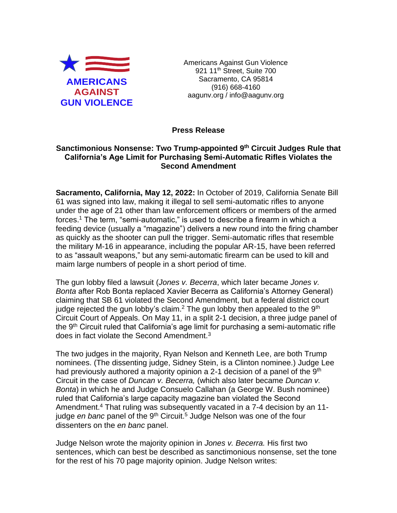

Americans Against Gun Violence 921 11<sup>th</sup> Street, Suite 700 Sacramento, CA 95814 (916) 668-4160 aagunv.org / info@aagunv.org

## **Press Release**

## Sanctimonious Nonsense: Two Trump-appointed 9<sup>th</sup> Circuit Judges Rule that **California's Age Limit for Purchasing Semi-Automatic Rifles Violates the Second Amendment**

**Sacramento, California, May 12, 2022:** In October of 2019, California Senate Bill 61 was signed into law, making it illegal to sell semi-automatic rifles to anyone under the age of 21 other than law enforcement officers or members of the armed forces. <sup>1</sup> The term, "semi-automatic," is used to describe a firearm in which a feeding device (usually a "magazine") delivers a new round into the firing chamber as quickly as the shooter can pull the trigger. Semi-automatic rifles that resemble the military M-16 in appearance, including the popular AR-15, have been referred to as "assault weapons," but any semi-automatic firearm can be used to kill and maim large numbers of people in a short period of time.

The gun lobby filed a lawsuit (*Jones v. Becerra*, which later became *Jones v. Bonta* after Rob Bonta replaced Xavier Becerra as California's Attorney General) claiming that SB 61 violated the Second Amendment, but a federal district court judge rejected the gun lobby's claim.<sup>2</sup> The gun lobby then appealed to the  $9<sup>th</sup>$ Circuit Court of Appeals. On May 11, in a split 2-1 decision, a three judge panel of the 9<sup>th</sup> Circuit ruled that California's age limit for purchasing a semi-automatic rifle does in fact violate the Second Amendment.<sup>3</sup>

The two judges in the majority, Ryan Nelson and Kenneth Lee, are both Trump nominees. (The dissenting judge, Sidney Stein, is a Clinton nominee.) Judge Lee had previously authored a majority opinion a 2-1 decision of a panel of the 9<sup>th</sup> Circuit in the case of *Duncan v. Becerra,* (which also later became *Duncan v. Bonta*) in which he and Judge Consuelo Callahan (a George W. Bush nominee) ruled that California's large capacity magazine ban violated the Second Amendment.<sup>4</sup> That ruling was subsequently vacated in a 7-4 decision by an 11judge *en banc* panel of the 9<sup>th</sup> Circuit.<sup>5</sup> Judge Nelson was one of the four dissenters on the *en banc* panel.

Judge Nelson wrote the majority opinion in *Jones v. Becerra.* His first two sentences, which can best be described as sanctimonious nonsense, set the tone for the rest of his 70 page majority opinion. Judge Nelson writes: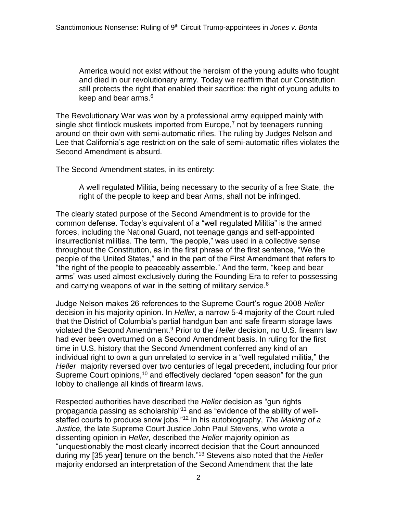America would not exist without the heroism of the young adults who fought and died in our revolutionary army. Today we reaffirm that our Constitution still protects the right that enabled their sacrifice: the right of young adults to keep and bear arms.<sup>6</sup>

The Revolutionary War was won by a professional army equipped mainly with single shot flintlock muskets imported from Europe, $<sup>7</sup>$  not by teenagers running</sup> around on their own with semi-automatic rifles. The ruling by Judges Nelson and Lee that California's age restriction on the sale of semi-automatic rifles violates the Second Amendment is absurd.

The Second Amendment states, in its entirety:

A well regulated Militia, being necessary to the security of a free State, the right of the people to keep and bear Arms, shall not be infringed.

The clearly stated purpose of the Second Amendment is to provide for the common defense. Today's equivalent of a "well regulated Militia" is the armed forces, including the National Guard, not teenage gangs and self-appointed insurrectionist militias. The term, "the people," was used in a collective sense throughout the Constitution, as in the first phrase of the first sentence, "We the people of the United States," and in the part of the First Amendment that refers to "the right of the people to peaceably assemble." And the term, "keep and bear arms" was used almost exclusively during the Founding Era to refer to possessing and carrying weapons of war in the setting of military service.<sup>8</sup>

Judge Nelson makes 26 references to the Supreme Court's rogue 2008 *Heller*  decision in his majority opinion. In *Heller,* a narrow 5-4 majority of the Court ruled that the District of Columbia's partial handgun ban and safe firearm storage laws violated the Second Amendment.<sup>9</sup> Prior to the *Heller* decision, no U.S. firearm law had ever been overturned on a Second Amendment basis. In ruling for the first time in U.S. history that the Second Amendment conferred any kind of an individual right to own a gun unrelated to service in a "well regulated militia," the *Heller* majority reversed over two centuries of legal precedent, including four prior Supreme Court opinions,<sup>10</sup> and effectively declared "open season" for the gun lobby to challenge all kinds of firearm laws.

Respected authorities have described the *Heller* decision as "gun rights propaganda passing as scholarship"<sup>11</sup> and as "evidence of the ability of wellstaffed courts to produce snow jobs."<sup>12</sup> In his autobiography, *The Making of a Justice,* the late Supreme Court Justice John Paul Stevens, who wrote a dissenting opinion in *Heller,* described the *Heller* majority opinion as "unquestionably the most clearly incorrect decision that the Court announced during my [35 year] tenure on the bench." <sup>13</sup> Stevens also noted that the *Heller*  majority endorsed an interpretation of the Second Amendment that the late